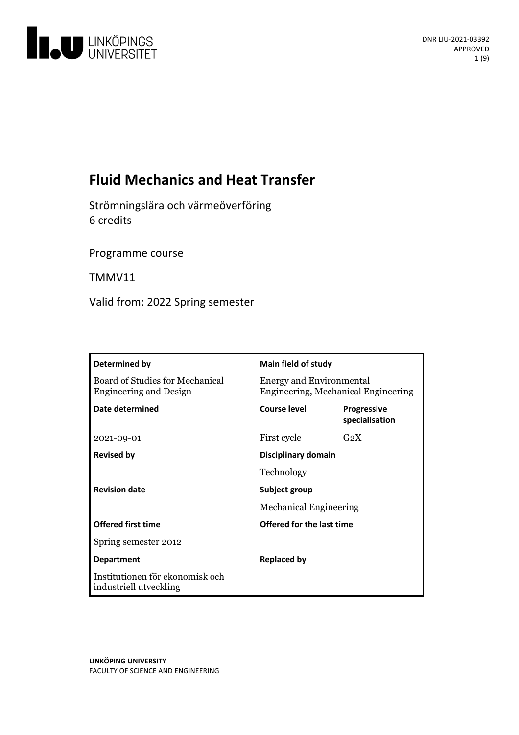

# **Fluid Mechanics and Heat Transfer**

Strömningslära och värmeöverföring 6 credits

Programme course

TMMV11

Valid from: 2022 Spring semester

| Determined by                                                    | <b>Main field of study</b>                                             |                                      |
|------------------------------------------------------------------|------------------------------------------------------------------------|--------------------------------------|
| Board of Studies for Mechanical<br><b>Engineering and Design</b> | <b>Energy and Environmental</b><br>Engineering, Mechanical Engineering |                                      |
| Date determined                                                  | <b>Course level</b>                                                    | <b>Progressive</b><br>specialisation |
| 2021-09-01                                                       | First cycle                                                            | G <sub>2</sub> X                     |
| <b>Revised by</b>                                                | Disciplinary domain                                                    |                                      |
|                                                                  | Technology                                                             |                                      |
| <b>Revision date</b>                                             | Subject group<br><b>Mechanical Engineering</b>                         |                                      |
|                                                                  |                                                                        |                                      |
| <b>Offered first time</b>                                        | Offered for the last time                                              |                                      |
| Spring semester 2012                                             |                                                                        |                                      |
| <b>Department</b>                                                | <b>Replaced by</b>                                                     |                                      |
| Institutionen för ekonomisk och<br>industriell utveckling        |                                                                        |                                      |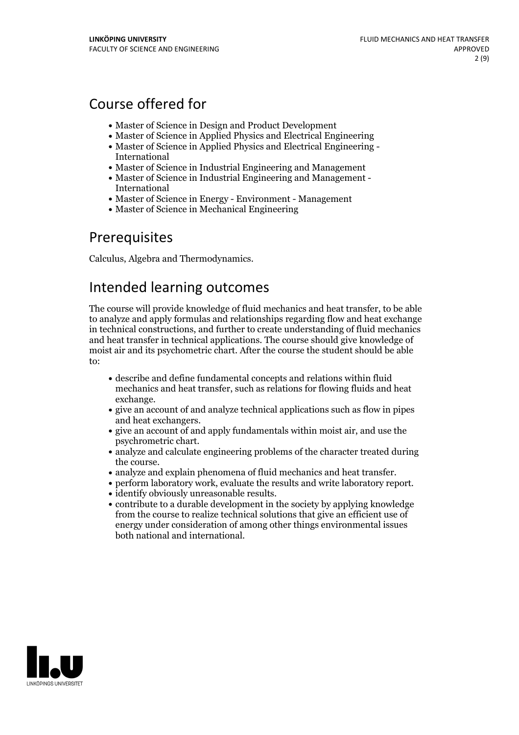# Course offered for

- Master of Science in Design and Product Development
- Master of Science in Applied Physics and Electrical Engineering
- Master of Science in Applied Physics and Electrical Engineering International
- Master of Science in Industrial Engineering and Management
- Master of Science in Industrial Engineering and Management International
- Master of Science in Energy Environment Management
- Master of Science in Mechanical Engineering

## Prerequisites

Calculus, Algebra and Thermodynamics.

## Intended learning outcomes

The course will provide knowledge offluid mechanics and heat transfer, to be able to analyze and apply formulas and relationships regarding flow and heat exchange in technical constructions, and further to create understanding of fluid mechanics and heat transfer in technical applications. The course should give knowledge of moist air and its psychometric chart. After the course the student should be able  $t^{\alpha}$ 

- describe and define fundamental concepts and relations within fluid mechanics and heat transfer, such as relations for flowing fluids and heat exchange.<br>• give an account of and analyze technical applications such as flow in pipes
- and heat exchangers.<br>• give an account of and apply fundamentals within moist air, and use the
- 
- psychrometric chart.<br>• analyze and calculate engineering problems of the character treated during the course.
- 
- analyze and explain phenomena of fluid mechanics and heat transfer.<br>• perform laboratory work, evaluate the results and write laboratory report.<br>• identify obviously unreasonable results.<br>• contribute to a durable develo
- 
- from the course to realize technical solutions that give an efficient use of energy under consideration of among other things environmental issues both national and international.

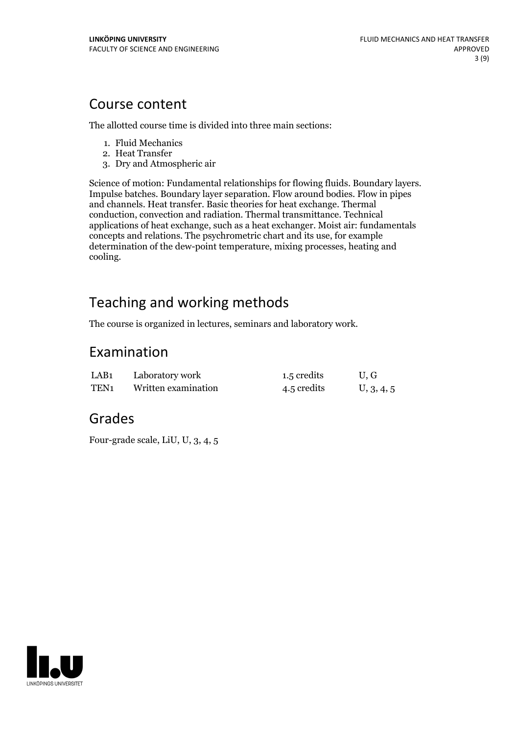## Course content

The allotted course time is divided into three main sections:

- 1. Fluid Mechanics
- 2. Heat Transfer
- 3. Dry and Atmospheric air

Science of motion: Fundamental relationships for flowing fluids. Boundary layers. Impulse batches. Boundary layer separation. Flow around bodies. Flow in pipes and channels. Heat transfer. Basic theories for heat exchange. Thermal conduction, convection and radiation. Thermal transmittance. Technical applications of heat exchange, such as a heat exchanger. Moist air: fundamentals concepts and relations. The psychrometric chart and its use, for example determination of the dew-point temperature, mixing processes, heating and cooling.

# Teaching and working methods

The course is organized in lectures, seminars and laboratory work.

## Examination

| LAB1 | Laboratory work     | 1.5 credits | U, G       |
|------|---------------------|-------------|------------|
| TEN1 | Written examination | 4.5 credits | U, 3, 4, 5 |

## Grades

Four-grade scale, LiU, U, 3, 4, 5

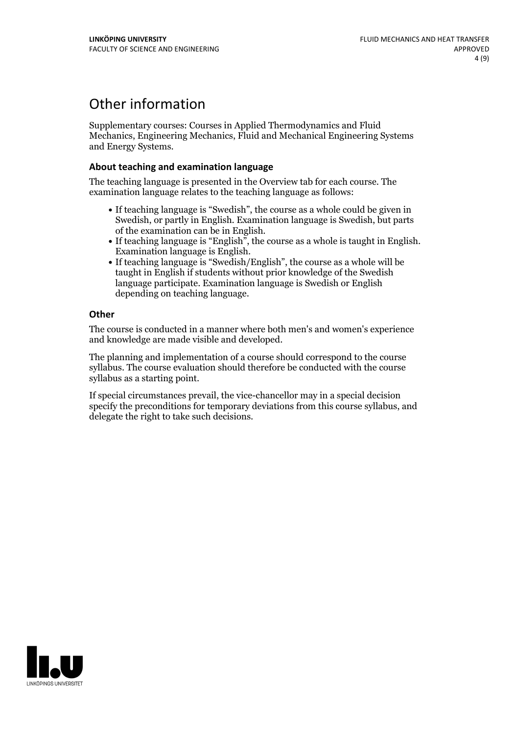## Other information

Supplementary courses: Courses in Applied Thermodynamics and Fluid Mechanics, Engineering Mechanics, Fluid and Mechanical Engineering Systems and Energy Systems.

### **About teaching and examination language**

The teaching language is presented in the Overview tab for each course. The examination language relates to the teaching language as follows:

- If teaching language is "Swedish", the course as a whole could be given in Swedish, or partly in English. Examination language is Swedish, but parts
- of the examination can be in English. If teaching language is "English", the course as <sup>a</sup> whole is taught in English. Examination language is English. If teaching language is "Swedish/English", the course as <sup>a</sup> whole will be
- taught in English if students without prior knowledge of the Swedish language participate. Examination language is Swedish or English depending on teaching language.

### **Other**

The course is conducted in a manner where both men's and women's experience and knowledge are made visible and developed.

The planning and implementation of a course should correspond to the course syllabus. The course evaluation should therefore be conducted with the course syllabus as a starting point.

If special circumstances prevail, the vice-chancellor may in a special decision specify the preconditions for temporary deviations from this course syllabus, and delegate the right to take such decisions.

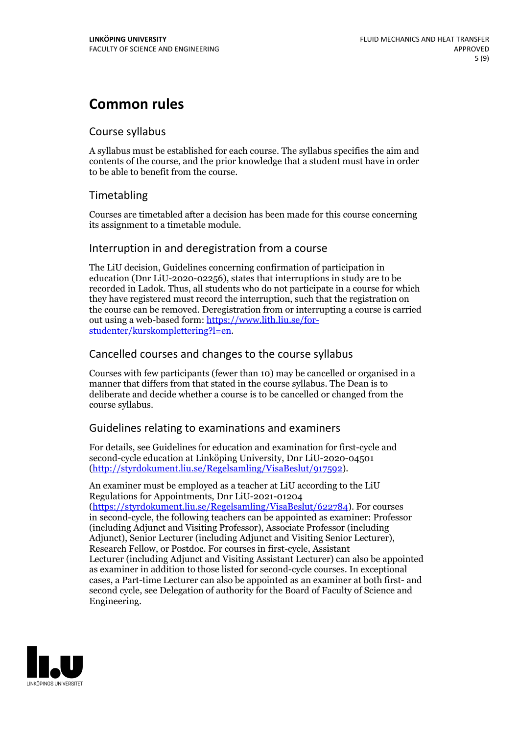## **Common rules**

## Course syllabus

A syllabus must be established for each course. The syllabus specifies the aim and contents of the course, and the prior knowledge that a student must have in order to be able to benefit from the course.

## Timetabling

Courses are timetabled after a decision has been made for this course concerning its assignment to a timetable module.

## Interruption in and deregistration from a course

The LiU decision, Guidelines concerning confirmation of participation in education (Dnr LiU-2020-02256), states that interruptions in study are to be recorded in Ladok. Thus, all students who do not participate in a course for which they have registered must record the interruption, such that the registration on the course can be removed. Deregistration from or interrupting a course is carried out using <sup>a</sup> web-based form: https://www.lith.liu.se/for- [studenter/kurskomplettering?l=en.](https://www.lith.liu.se/for-studenter/kurskomplettering?l=en)

## Cancelled coursesand changes to the course syllabus

Courses with few participants (fewer than 10) may be cancelled or organised in a manner that differs from that stated in the course syllabus. The Dean is to deliberate and decide whether a course is to be cancelled or changed from the course syllabus.

## Guidelines relating to examinations and examiners

For details, see Guidelines for education and examination for first-cycle and second-cycle education at Linköping University, Dnr LiU-2020-04501 [\(http://styrdokument.liu.se/Regelsamling/VisaBeslut/917592\)](http://styrdokument.liu.se/Regelsamling/VisaBeslut/917592).

An examiner must be employed as a teacher at LiU according to the LiU Regulations for Appointments, Dnr LiU-2021-01204 [\(https://styrdokument.liu.se/Regelsamling/VisaBeslut/622784](https://styrdokument.liu.se/Regelsamling/VisaBeslut/622784)). For courses in second-cycle, the following teachers can be appointed as examiner: Professor (including Adjunct and Visiting Professor), Associate Professor (including Adjunct), Senior Lecturer (including Adjunct and Visiting Senior Lecturer), Research Fellow, or Postdoc. For courses in first-cycle, Assistant Lecturer (including Adjunct and Visiting Assistant Lecturer) can also be appointed as examiner in addition to those listed for second-cycle courses. In exceptional cases, a Part-time Lecturer can also be appointed as an examiner at both first- and second cycle, see Delegation of authority for the Board of Faculty of Science and Engineering.

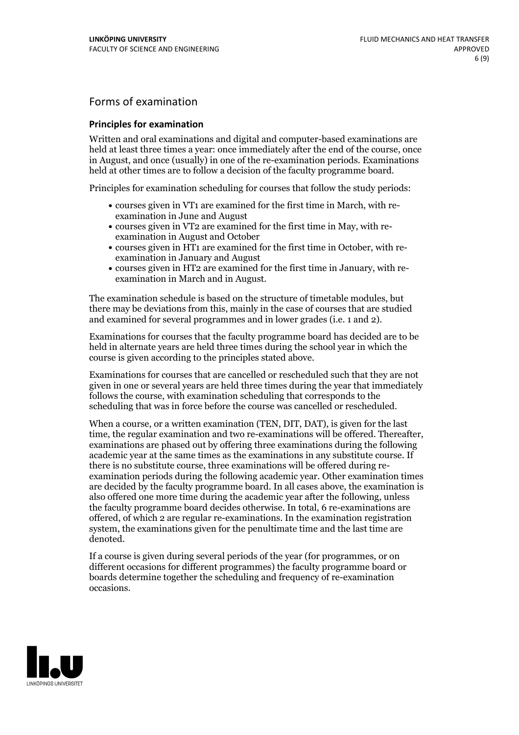## Forms of examination

#### **Principles for examination**

Written and oral examinations and digital and computer-based examinations are held at least three times a year: once immediately after the end of the course, once in August, and once (usually) in one of the re-examination periods. Examinations held at other times are to follow a decision of the faculty programme board.

Principles for examination scheduling for courses that follow the study periods:

- courses given in VT1 are examined for the first time in March, with re-examination in June and August
- courses given in VT2 are examined for the first time in May, with re-examination in August and October
- courses given in HT1 are examined for the first time in October, with re-examination in January and August
- courses given in HT2 are examined for the first time in January, with re-examination in March and in August.

The examination schedule is based on the structure of timetable modules, but there may be deviations from this, mainly in the case of courses that are studied and examined for several programmes and in lower grades (i.e. 1 and 2).

Examinations for courses that the faculty programme board has decided are to be held in alternate years are held three times during the school year in which the course is given according to the principles stated above.

Examinations for courses that are cancelled orrescheduled such that they are not given in one or several years are held three times during the year that immediately follows the course, with examination scheduling that corresponds to the scheduling that was in force before the course was cancelled or rescheduled.

When a course, or a written examination (TEN, DIT, DAT), is given for the last time, the regular examination and two re-examinations will be offered. Thereafter, examinations are phased out by offering three examinations during the following academic year at the same times as the examinations in any substitute course. If there is no substitute course, three examinations will be offered during re- examination periods during the following academic year. Other examination times are decided by the faculty programme board. In all cases above, the examination is also offered one more time during the academic year after the following, unless the faculty programme board decides otherwise. In total, 6 re-examinations are offered, of which 2 are regular re-examinations. In the examination registration system, the examinations given for the penultimate time and the last time are denoted.

If a course is given during several periods of the year (for programmes, or on different occasions for different programmes) the faculty programme board or boards determine together the scheduling and frequency of re-examination occasions.

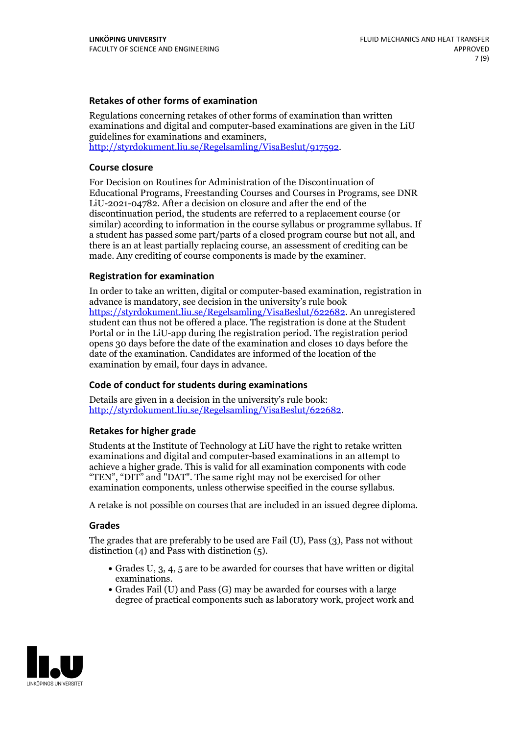### **Retakes of other forms of examination**

Regulations concerning retakes of other forms of examination than written examinations and digital and computer-based examinations are given in the LiU guidelines for examinations and examiners, [http://styrdokument.liu.se/Regelsamling/VisaBeslut/917592.](http://styrdokument.liu.se/Regelsamling/VisaBeslut/917592)

#### **Course closure**

For Decision on Routines for Administration of the Discontinuation of Educational Programs, Freestanding Courses and Courses in Programs, see DNR LiU-2021-04782. After a decision on closure and after the end of the discontinuation period, the students are referred to a replacement course (or similar) according to information in the course syllabus or programme syllabus. If a student has passed some part/parts of a closed program course but not all, and there is an at least partially replacing course, an assessment of crediting can be made. Any crediting of course components is made by the examiner.

### **Registration for examination**

In order to take an written, digital or computer-based examination, registration in advance is mandatory, see decision in the university's rule book [https://styrdokument.liu.se/Regelsamling/VisaBeslut/622682.](https://styrdokument.liu.se/Regelsamling/VisaBeslut/622682) An unregistered student can thus not be offered a place. The registration is done at the Student Portal or in the LiU-app during the registration period. The registration period opens 30 days before the date of the examination and closes 10 days before the date of the examination. Candidates are informed of the location of the examination by email, four days in advance.

### **Code of conduct for students during examinations**

Details are given in a decision in the university's rule book: <http://styrdokument.liu.se/Regelsamling/VisaBeslut/622682>.

#### **Retakes for higher grade**

Students at the Institute of Technology at LiU have the right to retake written examinations and digital and computer-based examinations in an attempt to achieve a higher grade. This is valid for all examination components with code "TEN", "DIT" and "DAT". The same right may not be exercised for other examination components, unless otherwise specified in the course syllabus.

A retake is not possible on courses that are included in an issued degree diploma.

#### **Grades**

The grades that are preferably to be used are Fail (U), Pass (3), Pass not without distinction  $(4)$  and Pass with distinction  $(5)$ .

- Grades U, 3, 4, 5 are to be awarded for courses that have written or digital examinations.<br>• Grades Fail (U) and Pass (G) may be awarded for courses with a large
- degree of practical components such as laboratory work, project work and

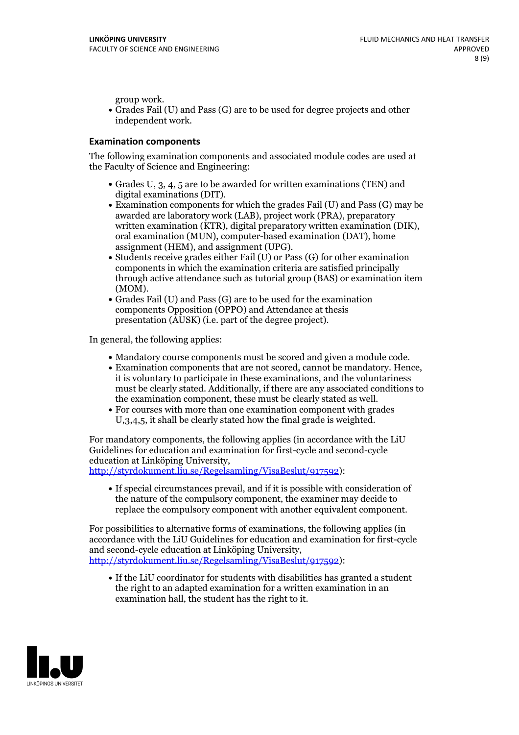group work.<br>• Grades Fail (U) and Pass (G) are to be used for degree projects and other independent work.

### **Examination components**

The following examination components and associated module codes are used at the Faculty of Science and Engineering:

- Grades U, 3, 4, 5 are to be awarded for written examinations (TEN) and
- digital examinations (DIT).<br>• Examination components for which the grades Fail (U) and Pass (G) may be awarded are laboratory work (LAB), project work (PRA), preparatory written examination (KTR), digital preparatory written examination (DIK), oral examination (MUN), computer-based examination (DAT), home
- assignment (HEM), and assignment (UPG).<br>• Students receive grades either Fail (U) or Pass (G) for other examination components in which the examination criteria are satisfied principally through active attendance such as tutorial group (BAS) or examination item
- (MOM).<br>• Grades Fail (U) and Pass (G) are to be used for the examination components Opposition (OPPO) and Attendance at thesis presentation (AUSK) (i.e. part of the degree project).

In general, the following applies:

- 
- Mandatory course components must be scored and given <sup>a</sup> module code. Examination components that are not scored, cannot be mandatory. Hence, it is voluntary to participate in these examinations, and the voluntariness must be clearly stated. Additionally, if there are any associated conditions to
- the examination component, these must be clearly stated as well.<br>• For courses with more than one examination component with grades U,3,4,5, it shall be clearly stated how the final grade is weighted.

For mandatory components, the following applies (in accordance with the LiU Guidelines for education and examination for first-cycle and second-cycle education at Linköping University,<br>[http://styrdokument.liu.se/Regelsamling/VisaBeslut/917592\)](http://styrdokument.liu.se/Regelsamling/VisaBeslut/917592):

If special circumstances prevail, and if it is possible with consideration of the nature of the compulsory component, the examiner may decide to replace the compulsory component with another equivalent component.

For possibilities to alternative forms of examinations, the following applies (in accordance with the LiU Guidelines for education and examination for first-cycle [http://styrdokument.liu.se/Regelsamling/VisaBeslut/917592\)](http://styrdokument.liu.se/Regelsamling/VisaBeslut/917592):

If the LiU coordinator for students with disabilities has granted a student the right to an adapted examination for a written examination in an examination hall, the student has the right to it.